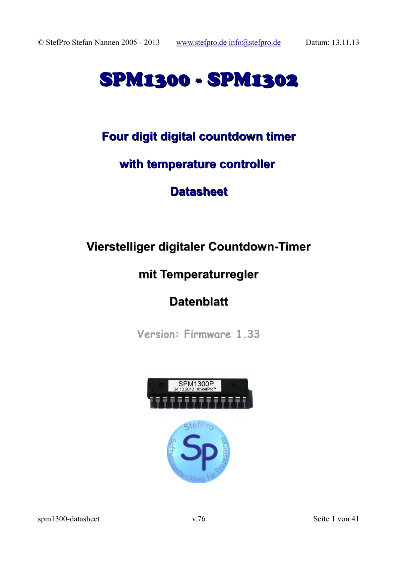# SPM1300 - SPM1302

# **Four digit digital countdown timer**

# **with temperature controller**

# **Datasheet**

# **Vierstelliger digitaler Countdown-Timer**

# **mit Temperaturregler**

# **Datenblatt**

**Version: Firmware 1.33**

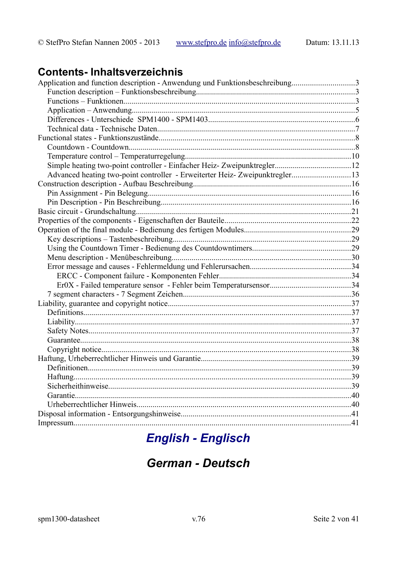# **Contents-Inhaltsverzeichnis**

| Application and function description - Anwendung und Funktionsbeschreibung3 |  |
|-----------------------------------------------------------------------------|--|
|                                                                             |  |
|                                                                             |  |
|                                                                             |  |
|                                                                             |  |
|                                                                             |  |
|                                                                             |  |
|                                                                             |  |
|                                                                             |  |
|                                                                             |  |
| Advanced heating two-point controller - Erweiterter Heiz-Zweipunktregler13  |  |
|                                                                             |  |
|                                                                             |  |
|                                                                             |  |
|                                                                             |  |
|                                                                             |  |
|                                                                             |  |
|                                                                             |  |
|                                                                             |  |
|                                                                             |  |
|                                                                             |  |
|                                                                             |  |
|                                                                             |  |
|                                                                             |  |
|                                                                             |  |
|                                                                             |  |
|                                                                             |  |
|                                                                             |  |
|                                                                             |  |
|                                                                             |  |
|                                                                             |  |
|                                                                             |  |
|                                                                             |  |
|                                                                             |  |
| Garantie.                                                                   |  |
|                                                                             |  |
|                                                                             |  |
|                                                                             |  |

# **English - Englisch**

# **German - Deutsch**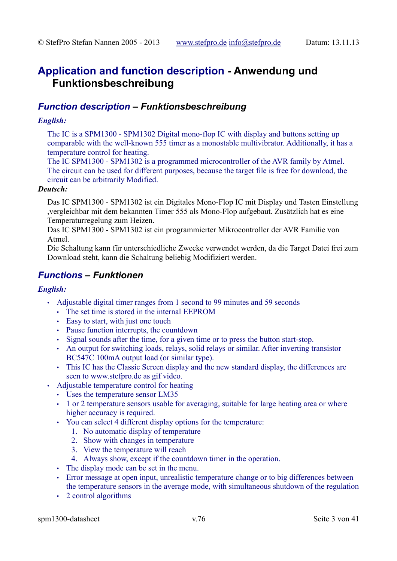# **Application and function description - Anwendung und Funktionsbeschreibung**

### *Function description – Funktionsbeschreibung*

### *English:*

The IC is a SPM1300 - SPM1302 Digital mono-flop IC with display and buttons setting up comparable with the well-known 555 timer as a monostable multivibrator. Additionally, it has a temperature control for heating.

The IC SPM1300 - SPM1302 is a programmed microcontroller of the AVR family by Atmel. The circuit can be used for different purposes, because the target file is free for download, the circuit can be arbitrarily Modified.

#### *Deutsch:*

Das IC SPM1300 - SPM1302 ist ein Digitales Mono-Flop IC mit Display und Tasten Einstellung ,vergleichbar mit dem bekannten Timer 555 als Mono-Flop aufgebaut. Zusätzlich hat es eine Temperaturregelung zum Heizen.

Das IC SPM1300 - SPM1302 ist ein programmierter Mikrocontroller der AVR Familie von Atmel.

Die Schaltung kann für unterschiedliche Zwecke verwendet werden, da die Target Datei frei zum Download steht, kann die Schaltung beliebig Modifiziert werden.

### *Functions – Funktionen*

### *English:*

- Adjustable digital timer ranges from 1 second to 99 minutes and 59 seconds
	- The set time is stored in the internal EEPROM
	- Easy to start, with just one touch
	- Pause function interrupts, the countdown
	- Signal sounds after the time, for a given time or to press the button start-stop.
	- An output for switching loads, relays, solid relays or similar. After inverting transistor BC547C 100mA output load (or similar type).
	- This IC has the Classic Screen display and the new standard display, the differences are seen to www.stefpro.de as gif video.
- Adjustable temperature control for heating
	- Uses the temperature sensor LM35
	- 1 or 2 temperature sensors usable for averaging, suitable for large heating area or where higher accuracy is required.
	- You can select 4 different display options for the temperature:
		- 1. No automatic display of temperature
		- 2. Show with changes in temperature
		- 3. View the temperature will reach
		- 4. Always show, except if the countdown timer in the operation.
	- The display mode can be set in the menu.
	- Error message at open input, unrealistic temperature change or to big differences between the temperature sensors in the average mode, with simultaneous shutdown of the regulation
	- 2 control algorithms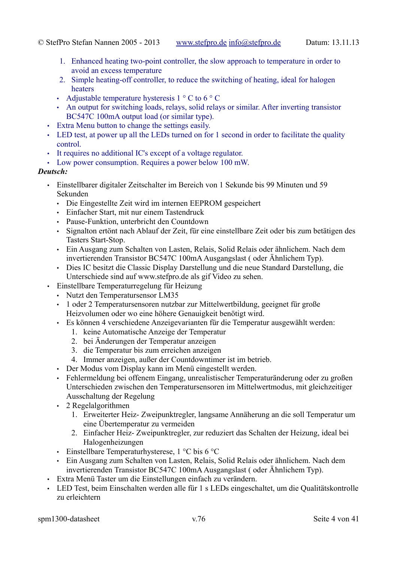- 1. Enhanced heating two-point controller, the slow approach to temperature in order to avoid an excess temperature
- 2. Simple heating-off controller, to reduce the switching of heating, ideal for halogen heaters
- Adjustable temperature hysteresis  $1 \circ C$  to  $6 \circ C$
- An output for switching loads, relays, solid relays or similar. After inverting transistor BC547C 100mA output load (or similar type).
- Extra Menu button to change the settings easily.
- LED test, at power up all the LEDs turned on for 1 second in order to facilitate the quality control.
- It requires no additional IC's except of a voltage regulator.
- Low power consumption. Requires a power below 100 mW.

### *Deutsch:*

- Einstellbarer digitaler Zeitschalter im Bereich von 1 Sekunde bis 99 Minuten und 59 Sekunden
	- Die Eingestellte Zeit wird im internen EEPROM gespeichert
	- Einfacher Start, mit nur einem Tastendruck
	- Pause-Funktion, unterbricht den Countdown
	- Signalton ertönt nach Ablauf der Zeit, für eine einstellbare Zeit oder bis zum betätigen des Tasters Start-Stop.
	- Ein Ausgang zum Schalten von Lasten, Relais, Solid Relais oder ähnlichem. Nach dem invertierenden Transistor BC547C 100mA Ausgangslast ( oder Ähnlichem Typ).
	- Dies IC besitzt die Classic Display Darstellung und die neue Standard Darstellung, die Unterschiede sind auf www.stefpro.de als gif Video zu sehen.
- Einstellbare Temperaturregelung für Heizung
	- Nutzt den Temperatursensor LM35
	- 1 oder 2 Temperatursensoren nutzbar zur Mittelwertbildung, geeignet für große Heizvolumen oder wo eine höhere Genauigkeit benötigt wird.
	- Es können 4 verschiedene Anzeigevarianten für die Temperatur ausgewählt werden:
		- 1. keine Automatische Anzeige der Temperatur
		- 2. bei Änderungen der Temperatur anzeigen
		- 3. die Temperatur bis zum erreichen anzeigen
		- 4. Immer anzeigen, außer der Countdowntimer ist im betrieb.
	- Der Modus vom Display kann im Menü eingestellt werden.
	- Fehlermeldung bei offenem Eingang, unrealistischer Temperaturänderung oder zu großen Unterschieden zwischen den Temperatursensoren im Mittelwertmodus, mit gleichzeitiger Ausschaltung der Regelung
	- 2 Regelalgorithmen
		- 1. Erweiterter Heiz- Zweipunktregler, langsame Annäherung an die soll Temperatur um eine Übertemperatur zu vermeiden
		- 2. Einfacher Heiz- Zweipunktregler, zur reduziert das Schalten der Heizung, ideal bei Halogenheizungen
	- Einstellbare Temperaturhysterese, 1 °C bis 6 °C
	- Ein Ausgang zum Schalten von Lasten, Relais, Solid Relais oder ähnlichem. Nach dem invertierenden Transistor BC547C 100mA Ausgangslast ( oder Ähnlichem Typ).
- Extra Menü Taster um die Einstellungen einfach zu verändern.
- LED Test, beim Einschalten werden alle für 1 s LEDs eingeschaltet, um die Qualitätskontrolle zu erleichtern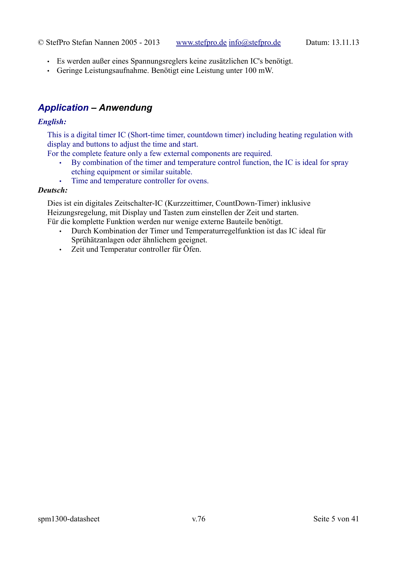- Es werden außer eines Spannungsreglers keine zusätzlichen IC's benötigt.
- Geringe Leistungsaufnahme. Benötigt eine Leistung unter 100 mW.

# *Application – Anwendung*

### *English:*

This is a digital timer IC (Short-time timer, countdown timer) including heating regulation with display and buttons to adjust the time and start.

For the complete feature only a few external components are required.

- By combination of the timer and temperature control function, the IC is ideal for spray etching equipment or similar suitable.
- Time and temperature controller for ovens.

### *Deutsch:*

Dies ist ein digitales Zeitschalter-IC (Kurzzeittimer, CountDown-Timer) inklusive Heizungsregelung, mit Display und Tasten zum einstellen der Zeit und starten. Für die komplette Funktion werden nur wenige externe Bauteile benötigt.

- Durch Kombination der Timer und Temperaturregelfunktion ist das IC ideal für Sprühätzanlagen oder ähnlichem geeignet.
- Zeit und Temperatur controller für Öfen.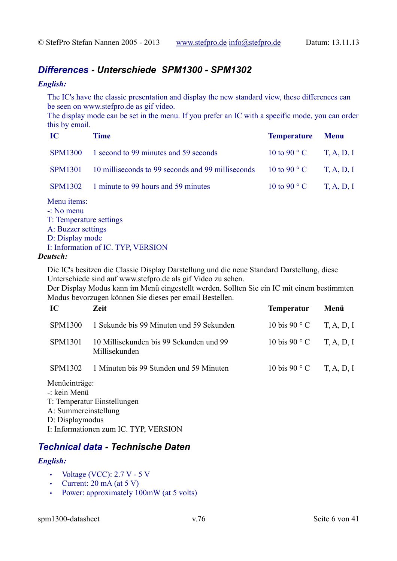# *Differences - Unterschiede SPM1300 - SPM1302*

### *English:*

The IC's have the classic presentation and display the new standard view, these differences can be seen on www.stefpro.de as gif video.

The display mode can be set in the menu. If you prefer an IC with a specific mode, you can order this by email.

| IC | <b>Time</b>                                                                       | <b>Temperature Menu</b>                          |  |
|----|-----------------------------------------------------------------------------------|--------------------------------------------------|--|
|    | SPM1300 1 second to 99 minutes and 59 seconds                                     | 10 to 90 ° C T, A, D, I                          |  |
|    | SPM1301 10 milliseconds to 99 seconds and 99 milliseconds 10 to 90 ° C T, A, D, I |                                                  |  |
|    | SPM1302 1 minute to 99 hours and 59 minutes                                       | $10 \text{ to } 90^{\circ} \text{ C}$ T, A, D, I |  |
|    |                                                                                   |                                                  |  |

Menu items:

- -: No menu
- T: Temperature settings
- A: Buzzer settings
- D: Display mode
- I: Information of IC. TYP, VERSION

### *Deutsch:*

Die IC's besitzen die Classic Display Darstellung und die neue Standard Darstellung, diese Unterschiede sind auf www.stefpro.de als gif Video zu sehen.

Der Display Modus kann im Menü eingestellt werden. Sollten Sie ein IC mit einem bestimmten Modus bevorzugen können Sie dieses per email Bestellen.

| $\bf IC$       | Zeit.                                                    | <b>Temperatur</b>        | Menü |
|----------------|----------------------------------------------------------|--------------------------|------|
| <b>SPM1300</b> | 1 Sekunde bis 99 Minuten und 59 Sekunden                 | 10 bis 90 ° C T, A, D, I |      |
| SPM1301        | 10 Millisekunden bis 99 Sekunden und 99<br>Millisekunden | 10 bis 90 ° C T, A, D, I |      |
| SPM1302        | 1 Minuten bis 99 Stunden und 59 Minuten                  | 10 bis 90 ° C T, A, D, I |      |
|                |                                                          |                          |      |

### Menüeinträge:

- -: kein Menü
- T: Temperatur Einstellungen
- A: Summereinstellung
- D: Displaymodus

I: Informationen zum IC. TYP, VERSION

# *Technical data - Technische Daten*

### *English:*

- Voltage (VCC): 2.7 V 5 V
- Current:  $20 \text{ mA}$  (at  $5 \text{ V}$ )
- Power: approximately 100mW (at 5 volts)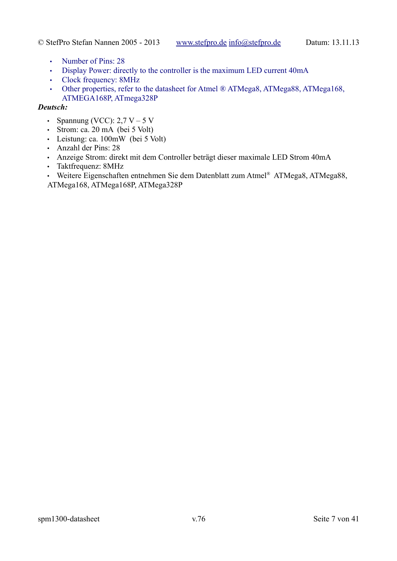- Number of Pins: 28
- Display Power: directly to the controller is the maximum LED current 40mA
- Clock frequency: 8MHz
- Other properties, refer to the datasheet for Atmel ® ATMega8, ATMega88, ATMega168, ATMEGA168P, ATmega328P

### *Deutsch:*

- Spannung (VCC): 2,7 V 5 V
- Strom: ca. 20 mA (bei 5 Volt)
- Leistung: ca. 100mW (bei 5 Volt)
- Anzahl der Pins: 28
- Anzeige Strom: direkt mit dem Controller beträgt dieser maximale LED Strom 40mA
- Taktfrequenz: 8MHz

• Weitere Eigenschaften entnehmen Sie dem Datenblatt zum Atmel® ATMega8, ATMega88, ATMega168, ATMega168P, ATMega328P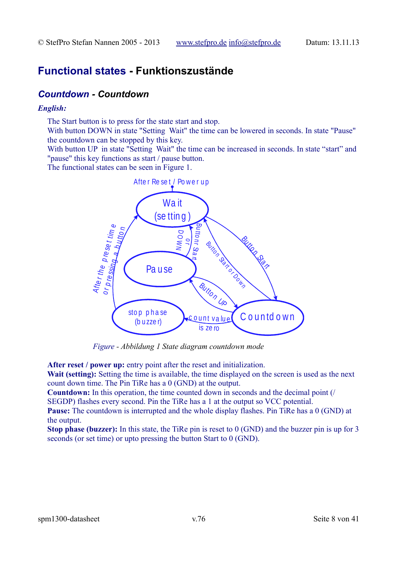# **Functional states - Funktionszustände**

### *Countdown - Countdown*

### *English:*

The Start button is to press for the state start and stop.

With button DOWN in state "Setting Wait" the time can be lowered in seconds. In state "Pause" the countdown can be stopped by this key.

With button UP in state "Setting Wait" the time can be increased in seconds. In state "start" and "pause" this key functions as start / pause button.

The functional states can be seen in Figure [1.](#page-7-0)



<span id="page-7-0"></span>*Figure - Abbildung 1 State diagram countdown mode*

**After reset / power up:** entry point after the reset and initialization.

**Wait (setting):** Setting the time is available, the time displayed on the screen is used as the next count down time. The Pin TiRe has a 0 (GND) at the output.

**Countdown:** In this operation, the time counted down in seconds and the decimal point (/ SEGDP) flashes every second. Pin the TiRe has a 1 at the output so VCC potential.

**Pause:** The countdown is interrupted and the whole display flashes. Pin TiRe has a 0 (GND) at the output.

**Stop phase (buzzer):** In this state, the TiRe pin is reset to 0 (GND) and the buzzer pin is up for 3 seconds (or set time) or upto pressing the button Start to 0 (GND).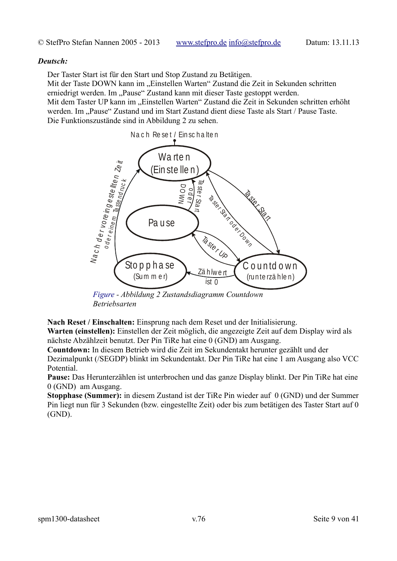#### *Deutsch:*

Der Taster Start ist für den Start und Stop Zustand zu Betätigen.

Mit der Taste DOWN kann im "Einstellen Warten" Zustand die Zeit in Sekunden schritten erniedrigt werden. Im "Pause" Zustand kann mit dieser Taste gestoppt werden.

Mit dem Taster UP kann im "Einstellen Warten" Zustand die Zeit in Sekunden schritten erhöht werden. Im "Pause" Zustand und im Start Zustand dient diese Taste als Start / Pause Taste. Die Funktionszustände sind in Abbildung [2](#page-8-0) zu sehen.



<span id="page-8-0"></span>*Figure - Abbildung 2 Zustandsdiagramm Countdown Betriebsarten*

**Nach Reset / Einschalten:** Einsprung nach dem Reset und der Initialisierung.

**Warten (einstellen):** Einstellen der Zeit möglich, die angezeigte Zeit auf dem Display wird als nächste Abzählzeit benutzt. Der Pin TiRe hat eine 0 (GND) am Ausgang.

**Countdown:** In diesem Betrieb wird die Zeit im Sekundentakt herunter gezählt und der

Dezimalpunkt (/SEGDP) blinkt im Sekundentakt. Der Pin TiRe hat eine 1 am Ausgang also VCC Potential.

**Pause:** Das Herunterzählen ist unterbrochen und das ganze Display blinkt. Der Pin TiRe hat eine 0 (GND) am Ausgang.

**Stopphase (Summer):** in diesem Zustand ist der TiRe Pin wieder auf 0 (GND) und der Summer Pin liegt nun für 3 Sekunden (bzw. eingestellte Zeit) oder bis zum betätigen des Taster Start auf 0 (GND).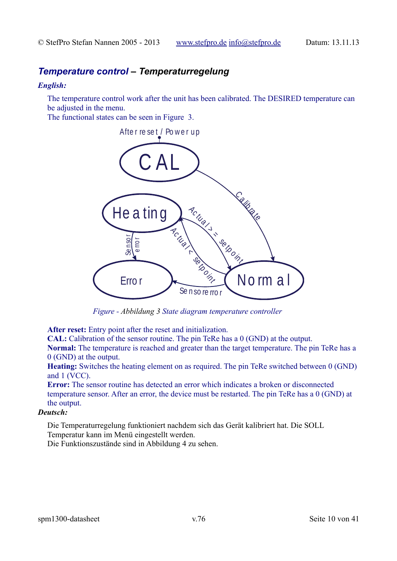# *Temperature control – Temperaturregelung*

### *English:*

The temperature control work after the unit has been calibrated. The DESIRED temperature can be adjusted in the menu.

The functional states can be seen in Figure [3.](#page-9-0)



<span id="page-9-0"></span>*Figure - Abbildung 3 State diagram temperature controller*

**After reset:** Entry point after the reset and initialization.

**CAL:** Calibration of the sensor routine. The pin TeRe has a 0 (GND) at the output.

**Normal:** The temperature is reached and greater than the target temperature. The pin TeRe has a 0 (GND) at the output.

**Heating:** Switches the heating element on as required. The pin TeRe switched between 0 (GND) and 1 (VCC).

**Error:** The sensor routine has detected an error which indicates a broken or disconnected temperature sensor. After an error, the device must be restarted. The pin TeRe has a 0 (GND) at the output.

### *Deutsch:*

Die Temperaturregelung funktioniert nachdem sich das Gerät kalibriert hat. Die SOLL Temperatur kann im Menü eingestellt werden.

Die Funktionszustände sind in Abbildung [4](#page-10-0) zu sehen.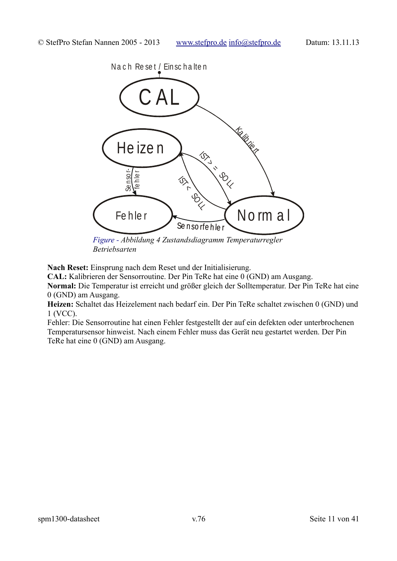

<span id="page-10-0"></span>*Betriebsarten*

**Nach Reset:** Einsprung nach dem Reset und der Initialisierung.

**CAL:** Kalibrieren der Sensorroutine. Der Pin TeRe hat eine 0 (GND) am Ausgang.

**Normal:** Die Temperatur ist erreicht und größer gleich der Solltemperatur. Der Pin TeRe hat eine 0 (GND) am Ausgang.

**Heizen:** Schaltet das Heizelement nach bedarf ein. Der Pin TeRe schaltet zwischen 0 (GND) und 1 (VCC).

Fehler: Die Sensorroutine hat einen Fehler festgestellt der auf ein defekten oder unterbrochenen Temperatursensor hinweist. Nach einem Fehler muss das Gerät neu gestartet werden. Der Pin TeRe hat eine 0 (GND) am Ausgang.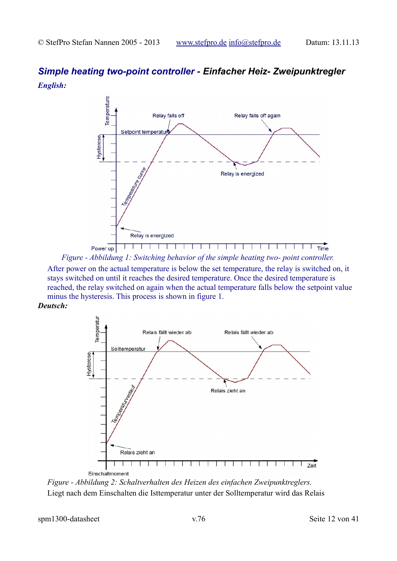# *Simple heating two-point controller - Einfacher Heiz- Zweipunktregler English:*



<span id="page-11-0"></span>*Figure - Abbildung 1: Switching behavior of the simple heating two- point controller.*

After power on the actual temperature is below the set temperature, the relay is switched on, it stays switched on until it reaches the desired temperature. Once the desired temperature is reached, the relay switched on again when the actual temperature falls below the setpoint value minus the hysteresis. This process is shown in figure [1.](#page-11-0)

*Deutsch:*



<span id="page-11-1"></span>*Figure - Abbildung 2: Schaltverhalten des Heizen des einfachen Zweipunktreglers.* Liegt nach dem Einschalten die Isttemperatur unter der Solltemperatur wird das Relais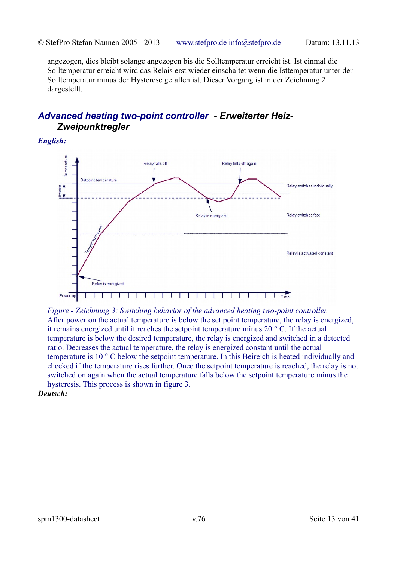angezogen, dies bleibt solange angezogen bis die Solltemperatur erreicht ist. Ist einmal die Solltemperatur erreicht wird das Relais erst wieder einschaltet wenn die Isttemperatur unter der Solltemperatur minus der Hysterese gefallen ist. Dieser Vorgang ist in der Zeichnung [2](#page-11-1) dargestellt.

# *Advanced heating two-point controller - Erweiterter Heiz-Zweipunktregler*

*English:*



<span id="page-12-0"></span>*Figure - Zeichnung 3: Switching behavior of the advanced heating two-point controller.* After power on the actual temperature is below the set point temperature, the relay is energized, it remains energized until it reaches the setpoint temperature minus 20 ° C. If the actual temperature is below the desired temperature, the relay is energized and switched in a detected ratio. Decreases the actual temperature, the relay is energized constant until the actual temperature is 10 ° C below the setpoint temperature. In this Beireich is heated individually and checked if the temperature rises further. Once the setpoint temperature is reached, the relay is not switched on again when the actual temperature falls below the setpoint temperature minus the hysteresis. This process is shown in figure [3.](#page-12-0)

*Deutsch:*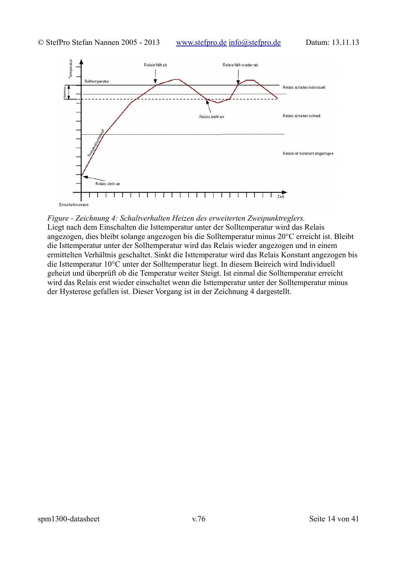

#### <span id="page-13-0"></span>*Figure - Zeichnung 4: Schaltverhalten Heizen des erweiterten Zweipunktreglers.*

Liegt nach dem Einschalten die Isttemperatur unter der Solltemperatur wird das Relais angezogen, dies bleibt solange angezogen bis die Solltemperatur minus 20°C erreicht ist. Bleibt die Isttemperatur unter der Solltemperatur wird das Relais wieder angezogen und in einem ermittelten Verhältnis geschaltet. Sinkt die Isttemperatur wird das Relais Konstant angezogen bis die Isttemperatur 10°C unter der Solltemperatur liegt. In diesem Beireich wird Individuell geheizt und überprüft ob die Temperatur weiter Steigt. Ist einmal die Solltemperatur erreicht wird das Relais erst wieder einschaltet wenn die Isttemperatur unter der Solltemperatur minus der Hysterese gefallen ist. Dieser Vorgang ist in der Zeichnung [4](#page-13-0) dargestellt.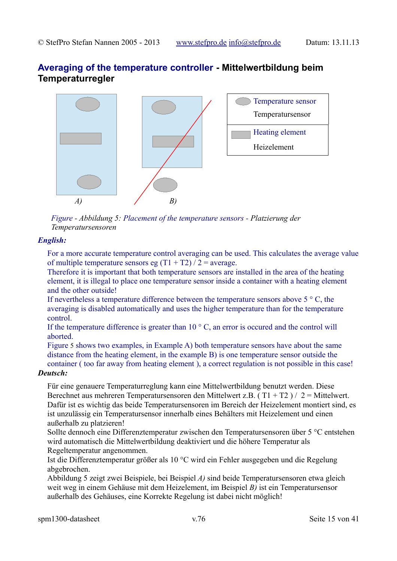# **Averaging of the temperature controller - Mittelwertbildung beim Temperaturregler**



<span id="page-14-0"></span>*Figure - Abbildung 5: Placement of the temperature sensors - Platzierung der Temperatursensoren*

### *English:*

For a more accurate temperature control averaging can be used. This calculates the average value of multiple temperature sensors eg  $(T1 + T2) / 2$  = average.

Therefore it is important that both temperature sensors are installed in the area of the heating element, it is illegal to place one temperature sensor inside a container with a heating element and the other outside!

If nevertheless a temperature difference between the temperature sensors above 5 ° C, the averaging is disabled automatically and uses the higher temperature than for the temperature control.

If the temperature difference is greater than  $10^{\circ}$  C, an error is occured and the control will aborted.

Figure [5](#page-14-0) shows two examples, in Example A) both temperature sensors have about the same distance from the heating element, in the example B) is one temperature sensor outside the container ( too far away from heating element ), a correct regulation is not possible in this case!

### *Deutsch:*

Für eine genauere Temperaturreglung kann eine Mittelwertbildung benutzt werden. Diese Berechnet aus mehreren Temperatursensoren den Mittelwert z.B. ( T1 + T2 ) / 2 = Mittelwert. Dafür ist es wichtig das beide Temperatursensoren im Bereich der Heizelement montiert sind, es ist unzulässig ein Temperatursensor innerhalb eines Behälters mit Heizelement und einen außerhalb zu platzieren!

Sollte dennoch eine Differenztemperatur zwischen den Temperatursensoren über 5 °C entstehen wird automatisch die Mittelwertbildung deaktiviert und die höhere Temperatur als Regeltemperatur angenommen.

Ist die Differenztemperatur größer als 10 °C wird ein Fehler ausgegeben und die Regelung abgebrochen.

Abbildung [5](#page-14-0) zeigt zwei Beispiele, bei Beispiel *A)* sind beide Temperatursensoren etwa gleich weit weg in einem Gehäuse mit dem Heizelement, im Beispiel *B)* ist ein Temperatursensor außerhalb des Gehäuses, eine Korrekte Regelung ist dabei nicht möglich!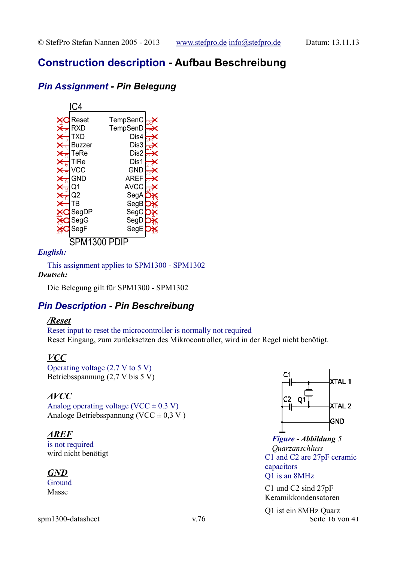# **Construction description - Aufbau Beschreibung**

# *Pin Assignment - Pin Belegung*



### *English:*

This assignment applies to SPM1300 - SPM1302 *Deutsch:*

Die Belegung gilt für SPM1300 - SPM1302

# *Pin Description - Pin Beschreibung*

### */Reset*

Reset input to reset the microcontroller is normally not required Reset Eingang, zum zurücksetzen des Mikrocontroller, wird in der Regel nicht benötigt.

# *VCC*

Operating voltage (2.7 V to 5 V) Betriebsspannung (2,7 V bis 5 V)

### *AVCC*

Analog operating voltage (VCC  $\pm$  0.3 V) Analoge Betriebsspannung (VCC  $\pm$  0.3 V)

### *AREF*

is not required wird nicht benötigt

# *GND*

Ground Masse



<span id="page-15-0"></span>*Figure - Abbildung 5 Quarzanschluss* C1 and C2 are 27pF ceramic capacitors Q1 is an 8MHz

C1 und C2 sind 27pF Keramikkondensatoren

spm1300-datasheet v.76 Seite 16 von 41 Q1 ist ein 8MHz Quarz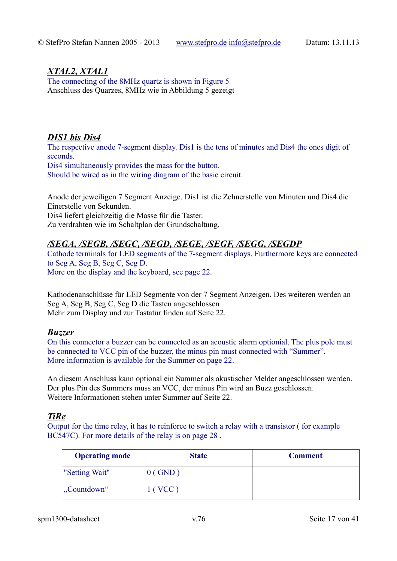### *XTAL2, XTAL1*

The connecting of the 8MHz quartz is shown in Figure [5](#page-15-0) Anschluss des Quarzes, 8MHz wie in Abbildung [5](#page-15-0) gezeigt

### *DIS1 bis Dis4*

The respective anode 7-segment display. Dis1 is the tens of minutes and Dis4 the ones digit of seconds. Dis4 simultaneously provides the mass for the button.

Should be wired as in the wiring diagram of the basic circuit.

Anode der jeweiligen 7 Segment Anzeige. Dis1 ist die Zehnerstelle von Minuten und Dis4 die Einerstelle von Sekunden. Dis4 liefert gleichzeitig die Masse für die Taster.

Zu verdrahten wie im Schaltplan der Grundschaltung.

# */SEGA, /SEGB, /SEGC, /SEGD, /SEGE, /SEGF, /SEGG, /SEGDP*

Cathode terminals for LED segments of the 7-segment displays. Furthermore keys are connected to Seg A, Seg B, Seg C, Seg D. More on the display and the keyboard, see page [22.](#page-21-0)

Kathodenanschlüsse für LED Segmente von der 7 Segment Anzeigen. Des weiteren werden an Seg A, Seg B, Seg C, Seg D die Tasten angeschlossen Mehr zum Display und zur Tastatur finden auf Seite [22.](#page-21-0)

### *Buzzer*

On this connector a buzzer can be connected as an acoustic alarm optionial. The plus pole must be connected to VCC pin of the buzzer, the minus pin must connected with "Summer". More information is available for the Summer on page [22.](#page-21-0)

An diesem Anschluss kann optional ein Summer als akustischer Melder angeschlossen werden. Der plus Pin des Summers muss an VCC, der minus Pin wird an Buzz geschlossen. Weitere Informationen stehen unter Summer auf Seite [22.](#page-21-0)

# *TiRe*

Output for the time relay, it has to reinforce to switch a relay with a transistor ( for example BC547C). For more details of the relay is on page [28](#page-27-0) .

| <b>Operating mode</b>       | <b>State</b>  | <b>Comment</b> |
|-----------------------------|---------------|----------------|
| "Setting Wait"              | (GND)         |                |
| $\mathcal{L}$ . Countdown " | $\vert$ (VCC) |                |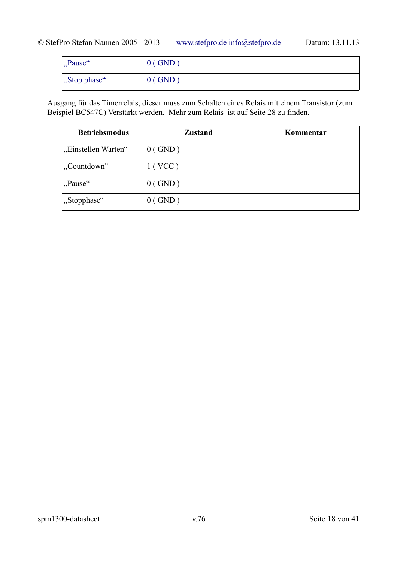| "Pause"               | $0$ (GND) |  |
|-----------------------|-----------|--|
| $\vert$ , Stop phase" | $0$ (GND) |  |

Ausgang für das Timerrelais, dieser muss zum Schalten eines Relais mit einem Transistor (zum Beispiel BC547C) Verstärkt werden. Mehr zum Relais ist auf Seite [28](#page-27-0) zu finden.

| <b>Betriebsmodus</b> | <b>Zustand</b> | Kommentar |
|----------------------|----------------|-----------|
| "Einstellen Warten"  | $0$ (GND)      |           |
| "Countdown"          | 1 (VCC)        |           |
| "Pause"              | $0$ (GND)      |           |
| "Stopphase"          | $0$ (GND)      |           |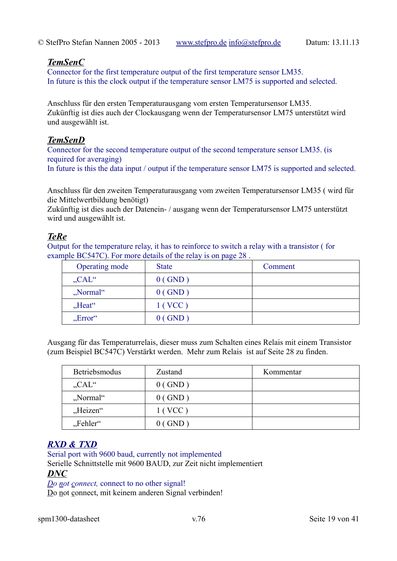### *TemSenC*

Connector for the first temperature output of the first temperature sensor LM35. In future is this the clock output if the temperature sensor LM75 is supported and selected.

Anschluss für den ersten Temperaturausgang vom ersten Temperatursensor LM35. Zukünftig ist dies auch der Clockausgang wenn der Temperatursensor LM75 unterstützt wird und ausgewählt ist.

### *TemSenD*

Connector for the second temperature output of the second temperature sensor LM35. (is required for averaging)

In future is this the data input / output if the temperature sensor LM75 is supported and selected.

Anschluss für den zweiten Temperaturausgang vom zweiten Temperatursensor LM35 ( wird für die Mittelwertbildung benötigt)

Zukünftig ist dies auch der Datenein- / ausgang wenn der Temperatursensor LM75 unterstützt wird und ausgewählt ist.

# *TeRe*

Output for the temperature relay, it has to reinforce to switch a relay with a transistor ( for example BC547C). For more details of the relay is on page [28](#page-27-0) .

| Operating mode           | <b>State</b> | Comment |
|--------------------------|--------------|---------|
| $CAL^{\alpha}$           | $0$ (GND)    |         |
| "Normal"                 | $0$ (GND)    |         |
| $,$ Heat"                | 1(VCC)       |         |
| $, Error^{\prime\prime}$ | $0$ (GND)    |         |

Ausgang für das Temperaturrelais, dieser muss zum Schalten eines Relais mit einem Transistor (zum Beispiel BC547C) Verstärkt werden. Mehr zum Relais ist auf Seite [28](#page-27-0) zu finden.

| Betriebsmodus        | Zustand   | Kommentar |
|----------------------|-----------|-----------|
| $CAL^{\prime\prime}$ | $0$ (GND) |           |
| "Normal"             | $0$ (GND) |           |
| "Heizen"             | 1(VCC)    |           |
| "Fehler"             | $0$ (GND) |           |

# *RXD & TXD*

Serial port with 9600 baud, currently not implemented Serielle Schnittstelle mit 9600 BAUD, zur Zeit nicht implementiert *DNC*

*Do not connect,* connect to no other signal! Do not connect, mit keinem anderen Signal verbinden!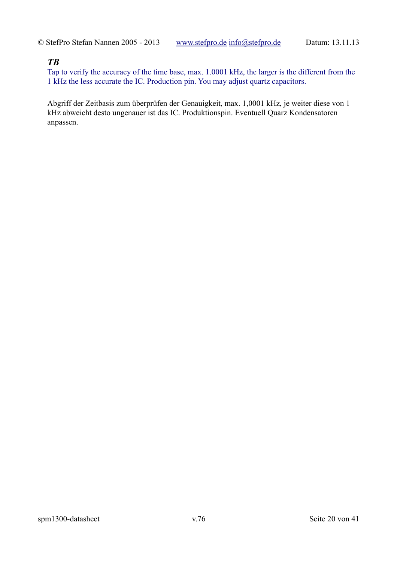### *TB*

Tap to verify the accuracy of the time base, max. 1.0001 kHz, the larger is the different from the 1 kHz the less accurate the IC. Production pin. You may adjust quartz capacitors.

Abgriff der Zeitbasis zum überprüfen der Genauigkeit, max. 1,0001 kHz, je weiter diese von 1 kHz abweicht desto ungenauer ist das IC. Produktionspin. Eventuell Quarz Kondensatoren anpassen.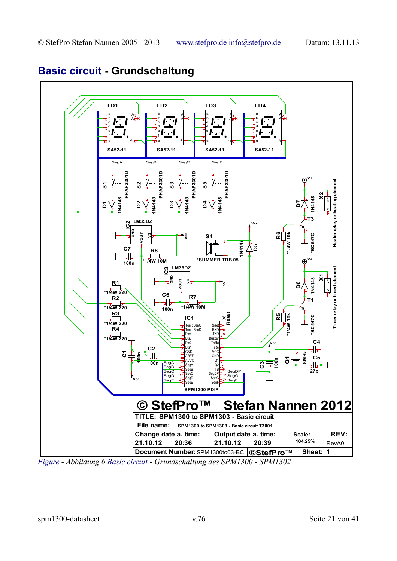

# **Basic circuit - Grundschaltung**

<span id="page-20-0"></span>*Figure - Abbildung 6 Basic circuit - Grundschaltung des SPM1300 - SPM1302*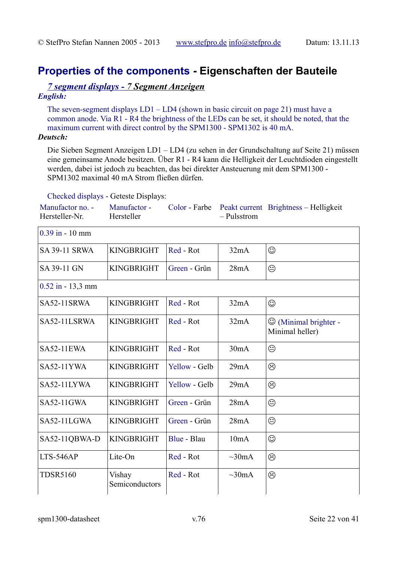# <span id="page-21-0"></span>**Properties of the components - Eigenschaften der Bauteile**

### *7 segment displays - 7 Segment Anzeigen English:*

The seven-segment displays LD1 – LD4 (shown in basic circuit on page [21\)](#page-20-0) must have a common anode. Via R1 - R4 the brightness of the LEDs can be set, it should be noted, that the maximum current with direct control by the SPM1300 - SPM1302 is 40 mA.

### *Deutsch:*

Die Sieben Segment Anzeigen LD1 – LD4 (zu sehen in der Grundschaltung auf Seite [21\)](#page-20-0) müssen eine gemeinsame Anode besitzen. Über R1 - R4 kann die Helligkeit der Leuchtdioden eingestellt werden, dabei ist jedoch zu beachten, das bei direkter Ansteuerung mit dem SPM1300 - SPM1302 maximal 40 mA Strom fließen dürfen.

# Checked displays - Geteste Displays:

| Checked displays - Geteste Displays: |                            |               |              |                                                       |
|--------------------------------------|----------------------------|---------------|--------------|-------------------------------------------------------|
| Manufactor no. -<br>Hersteller-Nr.   | Manufactor -<br>Hersteller | Color - Farbe | - Pulsstrom  | Peakt current Brightness - Helligkeit                 |
| $0.39$ in - 10 mm                    |                            |               |              |                                                       |
| <b>SA 39-11 SRWA</b>                 | <b>KINGBRIGHT</b>          | Red - Rot     | 32mA         | $\odot$                                               |
| SA 39-11 GN                          | <b>KINGBRIGHT</b>          | Green - Grün  | 28mA         | ☺                                                     |
| $0.52$ in $-13.3$ mm                 |                            |               |              |                                                       |
| SA52-11SRWA                          | <b>KINGBRIGHT</b>          | Red - Rot     | 32mA         | $\odot$                                               |
| SA52-11LSRWA                         | <b>KINGBRIGHT</b>          | Red - Rot     | 32mA         | $\circledcirc$ (Minimal brighter -<br>Minimal heller) |
| <b>SA52-11EWA</b>                    | <b>KINGBRIGHT</b>          | Red - Rot     | 30mA         | ☺                                                     |
| <b>SA52-11YWA</b>                    | <b>KINGBRIGHT</b>          | Yellow - Gelb | 29mA         | ☺                                                     |
| SA52-11LYWA                          | <b>KINGBRIGHT</b>          | Yellow - Gelb | 29mA         | ☺                                                     |
| SA52-11GWA                           | <b>KINGBRIGHT</b>          | Green - Grün  | 28mA         | $\odot$                                               |
| SA52-11LGWA                          | <b>KINGBRIGHT</b>          | Green - Grün  | 28mA         | ☺                                                     |
| SA52-11QBWA-D                        | <b>KINGBRIGHT</b>          | Blue - Blau   | 10mA         | ☺                                                     |
| LTS-546AP                            | Lite-On                    | Red - Rot     | $\sim 30$ mA | ☺                                                     |
| <b>TDSR5160</b>                      | Vishay<br>Semiconductors   | Red - Rot     | $\sim 30mA$  | ☺                                                     |

spm1300-datasheet v.76 Seite 22 von 41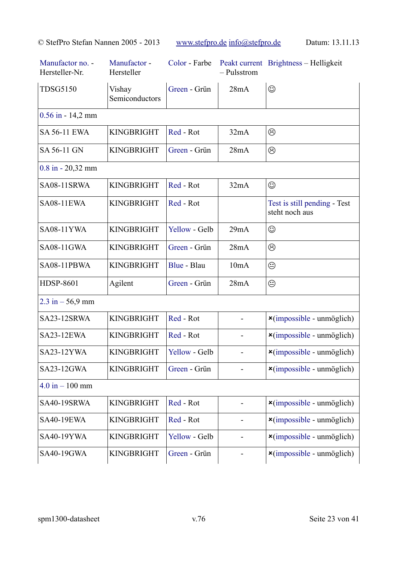| Manufactor no. -<br>Hersteller-Nr. | Manufactor -<br>Hersteller | Color - Farbe | - Pulsstrom | Peakt current Brightness - Helligkeit              |
|------------------------------------|----------------------------|---------------|-------------|----------------------------------------------------|
| <b>TDSG5150</b>                    | Vishay<br>Semiconductors   | Green - Grün  | 28mA        | ☺                                                  |
| $0.56$ in - 14,2 mm                |                            |               |             |                                                    |
| <b>SA 56-11 EWA</b>                | <b>KINGBRIGHT</b>          | Red - Rot     | 32mA        | ☺                                                  |
| SA 56-11 GN                        | <b>KINGBRIGHT</b>          | Green - Grün  | 28mA        | ☺                                                  |
| $0.8$ in $-20,32$ mm               |                            |               |             |                                                    |
| SA08-11SRWA                        | <b>KINGBRIGHT</b>          | Red - Rot     | 32mA        | ☺                                                  |
| <b>SA08-11EWA</b>                  | <b>KINGBRIGHT</b>          | Red - Rot     |             | Test is still pending - Test<br>steht noch aus     |
| <b>SA08-11YWA</b>                  | <b>KINGBRIGHT</b>          | Yellow - Gelb | 29mA        | ☺                                                  |
| <b>SA08-11GWA</b>                  | <b>KINGBRIGHT</b>          | Green - Grün  | 28mA        | ☺                                                  |
| SA08-11PBWA                        | <b>KINGBRIGHT</b>          | Blue - Blau   | 10mA        | ☺                                                  |
| <b>HDSP-8601</b>                   | Agilent                    | Green - Grün  | 28mA        | $\odot$                                            |
| $2.3 \text{ in} - 56.9 \text{ mm}$ |                            |               |             |                                                    |
| SA23-12SRWA                        | <b>KINGBRIGHT</b>          | Red - Rot     |             | $\frac{\mathsf{x}}{\text{impossible - unmöglich}}$ |
| SA23-12EWA                         | <b>KINGBRIGHT</b>          | Red - Rot     |             | $\frac{\mathsf{x}}{\text{impossible - unmöglich}}$ |
| SA23-12YWA                         | <b>KINGBRIGHT</b>          | Yellow - Gelb |             | $\frac{\mathsf{x}}{\text{impossible - unmöglich}}$ |
| SA23-12GWA                         | <b>KINGBRIGHT</b>          | Green - Grün  |             | $\frac{\mathsf{x}}{\text{impossible - unmöglich}}$ |
| $4.0 \text{ in} - 100 \text{ mm}$  |                            |               |             |                                                    |
| SA40-19SRWA                        | <b>KINGBRIGHT</b>          | Red - Rot     |             | $\frac{\mathsf{x}}{\text{impossible - unmöglich}}$ |
| <b>SA40-19EWA</b>                  | <b>KINGBRIGHT</b>          | Red - Rot     |             | $\frac{\mathsf{x}}{\text{impossible - unmöglich}}$ |
| <b>SA40-19YWA</b>                  | <b>KINGBRIGHT</b>          | Yellow - Gelb |             | $\frac{\mathsf{x}}{\text{impossible - unmoglich}}$ |
| SA40-19GWA                         | <b>KINGBRIGHT</b>          | Green - Grün  |             | $\frac{\mathsf{x}}{\text{impossible - unmoglich}}$ |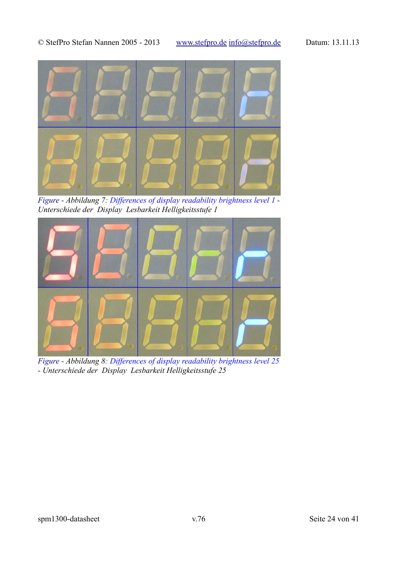

<span id="page-23-1"></span>*Figure - Abbildung 7: Differences of display readability brightness level 1 - Unterschiede der Display Lesbarkeit Helligkeitsstufe 1*



<span id="page-23-0"></span>*Figure - Abbildung 8: Differences of display readability brightness level 25 - Unterschiede der Display Lesbarkeit Helligkeitsstufe 25*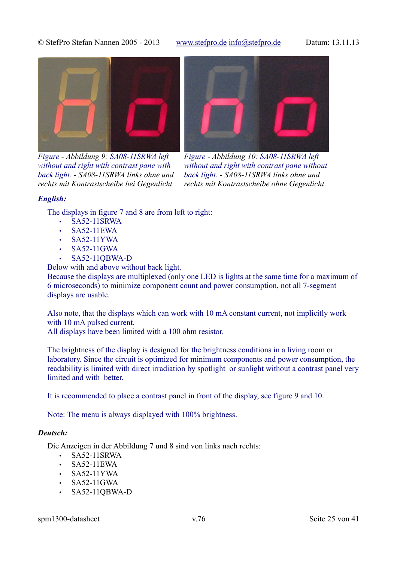

*Figure - Abbildung 9: SA08-11SRWA left without and right with contrast pane with back light. - SA08-11SRWA links ohne und rechts mit Kontrastscheibe bei Gegenlicht*

<span id="page-24-0"></span>

*Figure - Abbildung 10: SA08-11SRWA left without and right with contrast pane without back light. - SA08-11SRWA links ohne und rechts mit Kontrastscheibe ohne Gegenlicht*

### <span id="page-24-1"></span>*English:*

The displays in figure [7](#page-23-1) and [8](#page-23-0) are from left to right:

- SA52-11SRWA
- SA52-11EWA
- SA52-11YWA
- SA52-11GWA
- SA52-11QBWA-D

Below with and above without back light.

Because the displays are multiplexed (only one LED is lights at the same time for a maximum of 6 microseconds) to minimize component count and power consumption, not all 7-segment displays are usable.

Also note, that the displays which can work with 10 mA constant current, not implicitly work with 10 mA pulsed current.

All displays have been limited with a 100 ohm resistor.

The brightness of the display is designed for the brightness conditions in a living room or laboratory. Since the circuit is optimized for minimum components and power consumption, the readability is limited with direct irradiation by spotlight or sunlight without a contrast panel very limited and with better.

It is recommended to place a contrast panel in front of the display, see figure [9](#page-24-1) and [10.](#page-24-0)

Note: The menu is always displayed with 100% brightness.

### *Deutsch:*

Die Anzeigen in der Abbildung [7](#page-23-1) und [8](#page-23-0) sind von links nach rechts:

- SA52-11SRWA
- SA52-11EWA
- SA52-11YWA
- SA52-11GWA
- SA52-11QBWA-D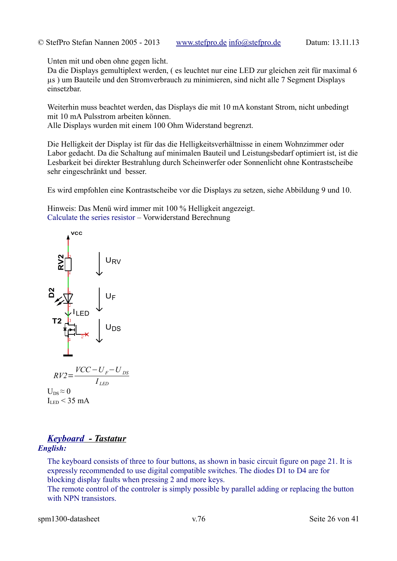Unten mit und oben ohne gegen licht.

Da die Displays gemultiplext werden, ( es leuchtet nur eine LED zur gleichen zeit für maximal 6 µs ) um Bauteile und den Stromverbrauch zu minimieren, sind nicht alle 7 Segment Displays einsetzbar.

Weiterhin muss beachtet werden, das Displays die mit 10 mA konstant Strom, nicht unbedingt mit 10 mA Pulsstrom arbeiten können.

Alle Displays wurden mit einem 100 Ohm Widerstand begrenzt.

Die Helligkeit der Display ist für das die Helligkeitsverhältnisse in einem Wohnzimmer oder Labor gedacht. Da die Schaltung auf minimalen Bauteil und Leistungsbedarf optimiert ist, ist die Lesbarkeit bei direkter Bestrahlung durch Scheinwerfer oder Sonnenlicht ohne Kontrastscheibe sehr eingeschränkt und besser.

Es wird empfohlen eine Kontrastscheibe vor die Displays zu setzen, siehe Abbildung [9](#page-24-1) und [10.](#page-24-0)

Hinweis: Das Menü wird immer mit 100 % Helligkeit angezeigt. Calculate the series resistor – Vorwiderstand Berechnung



$$
RV2 = \frac{VCC - U_F - U_{DS}}{I_{LED}}
$$

 $U_{DS} \approx 0$  $I_{LED}$  < 35 mA

### *Keyboard - Tastatur English:*

The keyboard consists of three to four buttons, as shown in basic circuit figure on page [21.](#page-20-0) It is expressly recommended to use digital compatible switches. The diodes D1 to D4 are for blocking display faults when pressing 2 and more keys.

The remote control of the controler is simply possible by parallel adding or replacing the button with NPN transistors.

spm1300-datasheet v.76 Seite 26 von 41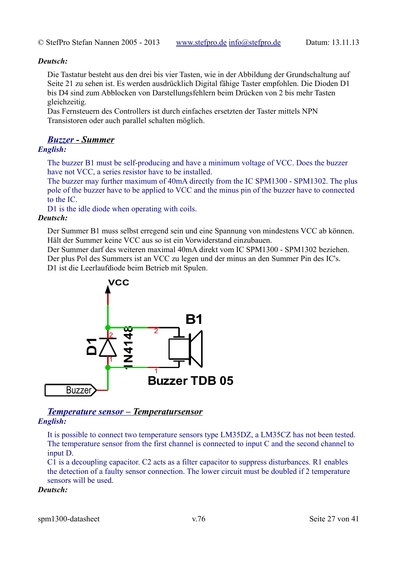### *Deutsch:*

Die Tastatur besteht aus den drei bis vier Tasten, wie in der Abbildung der Grundschaltung auf Seite [21](#page-20-0) zu sehen ist. Es werden ausdrücklich Digital fähige Taster empfohlen. Die Dioden D1 bis D4 sind zum Abblocken von Darstellungsfehlern beim Drücken von 2 bis mehr Tasten gleichzeitig.

Das Fernsteuern des Controllers ist durch einfaches ersetzten der Taster mittels NPN Transistoren oder auch parallel schalten möglich.

### *Buzzer- Summer*

### *English:*

The buzzer B1 must be self-producing and have a minimum voltage of VCC. Does the buzzer have not VCC, a series resistor have to be installed.

The buzzer may further maximum of 40mA directly from the IC SPM1300 - SPM1302. The plus pole of the buzzer have to be applied to VCC and the minus pin of the buzzer have to connected to the IC.

D1 is the idle diode when operating with coils.

### *Deutsch:*

Der Summer B1 muss selbst erregend sein und eine Spannung von mindestens VCC ab können. Hält der Summer keine VCC aus so ist ein Vorwiderstand einzubauen.

Der Summer darf des weiteren maximal 40mA direkt vom IC SPM1300 - SPM1302 beziehen. Der plus Pol des Summers ist an VCC zu legen und der minus an den Summer Pin des IC's. D1 ist die Leerlaufdiode beim Betrieb mit Spulen.



### *Temperature sensor – Temperatursensor English:*

It is possible to connect two temperature sensors type LM35DZ, a LM35CZ has not been tested. The temperature sensor from the first channel is connected to input C and the second channel to input D.

C1 is a decoupling capacitor. C2 acts as a filter capacitor to suppress disturbances. R1 enables the detection of a faulty sensor connection. The lower circuit must be doubled if 2 temperature sensors will be used.

### *Deutsch:*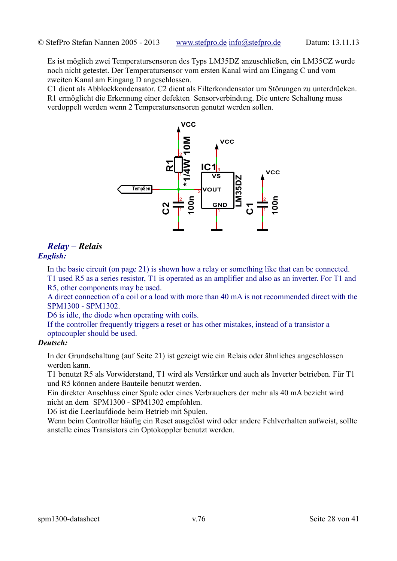Es ist möglich zwei Temperatursensoren des Typs LM35DZ anzuschließen, ein LM35CZ wurde noch nicht getestet. Der Temperatursensor vom ersten Kanal wird am Eingang C und vom zweiten Kanal am Eingang D angeschlossen.

C1 dient als Abblockkondensator. C2 dient als Filterkondensator um Störungen zu unterdrücken. R1 ermöglicht die Erkennung einer defekten Sensorverbindung. Die untere Schaltung muss verdoppelt werden wenn 2 Temperatursensoren genutzt werden sollen.



# <span id="page-27-0"></span> *Relay – Relais*

### *English:*

In the basic circuit (on page [21\)](#page-20-0) is shown how a relay or something like that can be connected.

T1 used R5 as a series resistor, T1 is operated as an amplifier and also as an inverter. For T1 and R5, other components may be used.

A direct connection of a coil or a load with more than 40 mA is not recommended direct with the SPM1300 - SPM1302.

D6 is idle, the diode when operating with coils.

If the controller frequently triggers a reset or has other mistakes, instead of a transistor a optocoupler should be used.

### *Deutsch:*

In der Grundschaltung (auf Seite [21\)](#page-20-0) ist gezeigt wie ein Relais oder ähnliches angeschlossen werden kann.

T1 benutzt R5 als Vorwiderstand, T1 wird als Verstärker und auch als Inverter betrieben. Für T1 und R5 können andere Bauteile benutzt werden.

Ein direkter Anschluss einer Spule oder eines Verbrauchers der mehr als 40 mA bezieht wird nicht an dem SPM1300 - SPM1302 empfohlen.

D6 ist die Leerlaufdiode beim Betrieb mit Spulen.

Wenn beim Controller häufig ein Reset ausgelöst wird oder andere Fehlverhalten aufweist, sollte anstelle eines Transistors ein Optokoppler benutzt werden.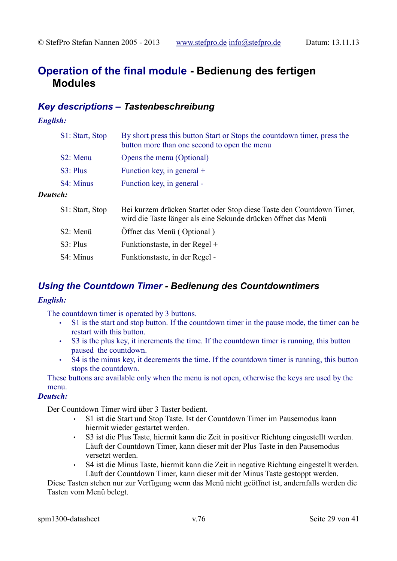# **Operation of the final module - Bedienung des fertigen Modules**

# *Key descriptions – Tastenbeschreibung*

### *English:*

|          | S1: Start, Stop       | By short press this button Start or Stops the countdown timer, press the<br>button more than one second to open the menu |
|----------|-----------------------|--------------------------------------------------------------------------------------------------------------------------|
|          | S <sub>2</sub> : Menu | Opens the menu (Optional)                                                                                                |
|          | S3: Plus              | Function key, in general $+$                                                                                             |
|          | S4: Minus             | Function key, in general -                                                                                               |
| Deutsch: |                       |                                                                                                                          |
|          | S1: Start Stop        | Bei kurzem drücken Startet oder Stop diese Taste den Countdown Timer.                                                    |

| $51.5$ tait, $500$ | Der Kurzen underen Standel oder Stop urse Tasie den Countdown Thile<br>wird die Taste länger als eine Sekunde drücken öffnet das Menü |
|--------------------|---------------------------------------------------------------------------------------------------------------------------------------|
| S2: Menü           | Öffnet das Menü (Optional)                                                                                                            |
| $S3$ : Plus        | Funktionstaste, in der Regel +                                                                                                        |
| S4: Minus          | Funktionstaste, in der Regel -                                                                                                        |

# *Using the Countdown Timer - Bedienung des Countdowntimers*

### *English:*

The countdown timer is operated by 3 buttons.

- S1 is the start and stop button. If the countdown timer in the pause mode, the timer can be restart with this button.
- S3 is the plus key, it increments the time. If the countdown timer is running, this button paused the countdown.
- S4 is the minus key, it decrements the time. If the countdown timer is running, this button stops the countdown.

These buttons are available only when the menu is not open, otherwise the keys are used by the menu.

### *Deutsch:*

Der Countdown Timer wird über 3 Taster bedient.

- S1 ist die Start und Stop Taste. Ist der Countdown Timer im Pausemodus kann hiermit wieder gestartet werden.
- S3 ist die Plus Taste, hiermit kann die Zeit in positiver Richtung eingestellt werden. Läuft der Countdown Timer, kann dieser mit der Plus Taste in den Pausemodus versetzt werden.
- S4 ist die Minus Taste, hiermit kann die Zeit in negative Richtung eingestellt werden. Läuft der Countdown Timer, kann dieser mit der Minus Taste gestoppt werden.

Diese Tasten stehen nur zur Verfügung wenn das Menü nicht geöffnet ist, andernfalls werden die Tasten vom Menü belegt.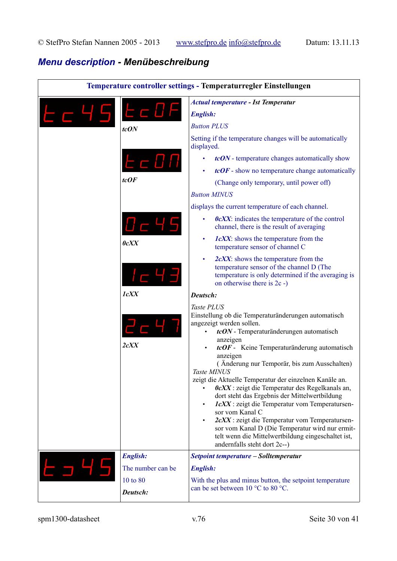# *Menu description - Menübeschreibung*

| Temperature controller settings - Temperaturregler Einstellungen |                      |                                                                                                                                                                                                                                                                                                                                                                                                                                                                                                                                                                                                                                                                                                                                                         |
|------------------------------------------------------------------|----------------------|---------------------------------------------------------------------------------------------------------------------------------------------------------------------------------------------------------------------------------------------------------------------------------------------------------------------------------------------------------------------------------------------------------------------------------------------------------------------------------------------------------------------------------------------------------------------------------------------------------------------------------------------------------------------------------------------------------------------------------------------------------|
|                                                                  |                      | <b>Actual temperature - Ist Temperatur</b>                                                                                                                                                                                                                                                                                                                                                                                                                                                                                                                                                                                                                                                                                                              |
|                                                                  | t d D F              | <b>English:</b>                                                                                                                                                                                                                                                                                                                                                                                                                                                                                                                                                                                                                                                                                                                                         |
|                                                                  | tcON                 | <b>Button PLUS</b>                                                                                                                                                                                                                                                                                                                                                                                                                                                                                                                                                                                                                                                                                                                                      |
|                                                                  |                      | Setting if the temperature changes will be automatically<br>displayed.                                                                                                                                                                                                                                                                                                                                                                                                                                                                                                                                                                                                                                                                                  |
|                                                                  |                      | tcON - temperature changes automatically show<br>٠                                                                                                                                                                                                                                                                                                                                                                                                                                                                                                                                                                                                                                                                                                      |
|                                                                  |                      | $tcOF$ - show no temperature change automatically                                                                                                                                                                                                                                                                                                                                                                                                                                                                                                                                                                                                                                                                                                       |
|                                                                  | tcOF                 | (Change only temporary, until power off)                                                                                                                                                                                                                                                                                                                                                                                                                                                                                                                                                                                                                                                                                                                |
|                                                                  |                      | <b>Button MINUS</b>                                                                                                                                                                                                                                                                                                                                                                                                                                                                                                                                                                                                                                                                                                                                     |
|                                                                  |                      | displays the current temperature of each channel.                                                                                                                                                                                                                                                                                                                                                                                                                                                                                                                                                                                                                                                                                                       |
|                                                                  |                      | $0cXX$ : indicates the temperature of the control<br>٠<br>channel, there is the result of averaging                                                                                                                                                                                                                                                                                                                                                                                                                                                                                                                                                                                                                                                     |
|                                                                  | 0cXX                 | <i>IcXX</i> : shows the temperature from the<br>٠<br>temperature sensor of channel C                                                                                                                                                                                                                                                                                                                                                                                                                                                                                                                                                                                                                                                                    |
|                                                                  |                      | 2cXX: shows the temperature from the<br>temperature sensor of the channel D (The<br>temperature is only determined if the averaging is<br>on otherwise there is 2c -)                                                                                                                                                                                                                                                                                                                                                                                                                                                                                                                                                                                   |
|                                                                  | <b>lcXX</b>          | Deutsch:                                                                                                                                                                                                                                                                                                                                                                                                                                                                                                                                                                                                                                                                                                                                                |
|                                                                  | 2cXX                 | Taste PLUS<br>Einstellung ob die Temperaturänderungen automatisch<br>angezeigt werden sollen.<br>tcON - Temperaturänderungen automatisch<br>$\bullet$<br>anzeigen<br>$tcOF$ - Keine Temperaturänderung automatisch<br>anzeigen<br>(Änderung nur Temporär, bis zum Ausschalten)<br>Taste MINUS<br>zeigt die Aktuelle Temperatur der einzelnen Kanäle an.<br>$0cXX$ : zeigt die Temperatur des Regelkanals an,<br>dort steht das Ergebnis der Mittelwertbildung<br>IcXX : zeigt die Temperatur vom Temperatursen-<br>$\bullet$<br>sor vom Kanal C<br>2cXX : zeigt die Temperatur vom Temperatursen-<br>$\bullet$<br>sor vom Kanal D (Die Temperatur wird nur ermit-<br>telt wenn die Mittelwertbildung eingeschaltet ist,<br>andernfalls steht dort 2c--) |
|                                                                  | <b>English:</b>      | Setpoint temperature - Solltemperatur                                                                                                                                                                                                                                                                                                                                                                                                                                                                                                                                                                                                                                                                                                                   |
|                                                                  | The number can be    | <b>English:</b>                                                                                                                                                                                                                                                                                                                                                                                                                                                                                                                                                                                                                                                                                                                                         |
|                                                                  | 10 to 80<br>Deutsch: | With the plus and minus button, the setpoint temperature<br>can be set between 10 °C to 80 °C.                                                                                                                                                                                                                                                                                                                                                                                                                                                                                                                                                                                                                                                          |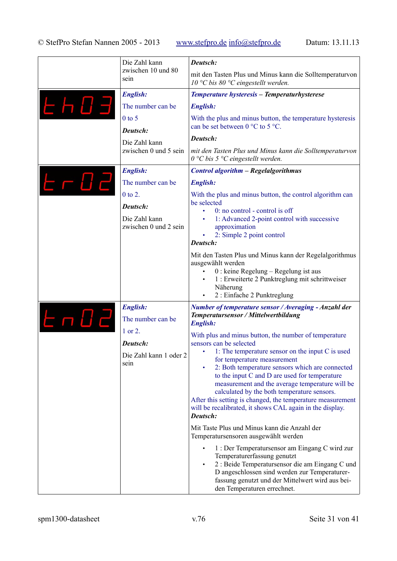|                 | Die Zahl kann<br>zwischen 10 und 80<br>sein | Deutsch:                                                                                                                         |
|-----------------|---------------------------------------------|----------------------------------------------------------------------------------------------------------------------------------|
|                 |                                             | mit den Tasten Plus und Minus kann die Solltemperaturvon<br>10 °C bis 80 °C eingestellt werden.                                  |
|                 | <b>English:</b>                             | Temperature hysteresis - Temperaturhysterese                                                                                     |
| <b>LHO3</b>     | The number can be                           | <b>English:</b>                                                                                                                  |
|                 | $0$ to 5                                    | With the plus and minus button, the temperature hysteresis                                                                       |
|                 | Deutsch:                                    | can be set between $0^{\circ}$ C to 5 °C.                                                                                        |
|                 | Die Zahl kann<br>zwischen 0 und 5 sein      | Deutsch:                                                                                                                         |
|                 |                                             | mit den Tasten Plus und Minus kann die Solltemperaturvon<br>$0 °C$ bis 5 $°C$ eingestellt werden.                                |
|                 | <b>English:</b>                             | <b>Control algorithm - Regelalgorithmus</b>                                                                                      |
| <u> E – 0 2</u> | The number can be                           | <b>English:</b>                                                                                                                  |
|                 | 0 to 2.                                     | With the plus and minus button, the control algorithm can                                                                        |
|                 | Deutsch:                                    | be selected<br>0: no control - control is off                                                                                    |
|                 | Die Zahl kann                               | 1: Advanced 2-point control with successive                                                                                      |
|                 | zwischen 0 und 2 sein                       | approximation<br>2: Simple 2 point control                                                                                       |
|                 |                                             | Deutsch:                                                                                                                         |
|                 |                                             | Mit den Tasten Plus und Minus kann der Regelalgorithmus                                                                          |
|                 |                                             | ausgewählt werden<br>$0:$ keine Regelung – Regelung ist aus                                                                      |
|                 |                                             | 1 : Erweiterte 2 Punktreglung mit schrittweiser                                                                                  |
|                 |                                             | Näherung<br>2 : Einfache 2 Punktreglung                                                                                          |
|                 | <b>English:</b>                             | <b>Number of temperature sensor / Averaging - Anzahl der</b>                                                                     |
| <i>EnD2</i>     | The number can be                           | Temperatursensor / Mittelwertbildung<br><b>English:</b>                                                                          |
|                 | 1 or 2.                                     | With plus and minus button, the number of temperature                                                                            |
|                 | Deutsch:                                    | sensors can be selected                                                                                                          |
|                 | Die Zahl kann 1 oder 2                      | 1: The temperature sensor on the input C is used<br>for temperature measurement                                                  |
|                 | sein                                        | 2: Both temperature sensors which are connected                                                                                  |
|                 |                                             | to the input C and D are used for temperature<br>measurement and the average temperature will be                                 |
|                 |                                             | calculated by the both temperature sensors.                                                                                      |
|                 |                                             | After this setting is changed, the temperature measurement<br>will be recalibrated, it shows CAL again in the display.           |
|                 |                                             | Deutsch:                                                                                                                         |
|                 |                                             | Mit Taste Plus und Minus kann die Anzahl der<br>Temperatursensoren ausgewählt werden                                             |
|                 |                                             | 1 : Der Temperatursensor am Eingang C wird zur                                                                                   |
|                 |                                             | Temperaturerfassung genutzt<br>2 : Beide Temperatursensor die am Eingang C und                                                   |
|                 |                                             | D angeschlossen sind werden zur Temperaturer-<br>fassung genutzt und der Mittelwert wird aus bei-<br>den Temperaturen errechnet. |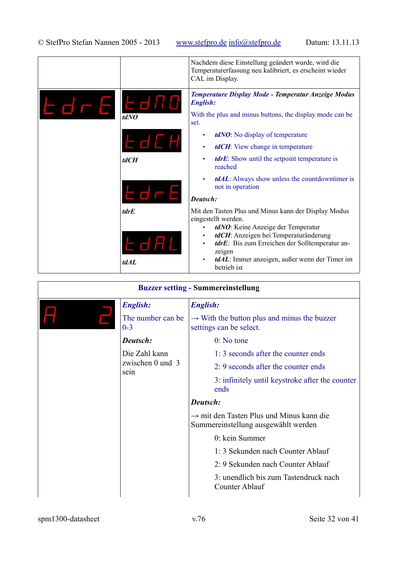|                 |                             | Nachdem diese Einstellung geändert wurde, wird die<br>Temperaturerfassung neu kalibriert, es erscheint wieder<br>CAL im Display.                                                                                                                                                                         |
|-----------------|-----------------------------|----------------------------------------------------------------------------------------------------------------------------------------------------------------------------------------------------------------------------------------------------------------------------------------------------------|
| <i>EdreEano</i> | tdNO                        | Temperature Display Mode - Temperatur Anzeige Modus<br><b>English:</b><br>With the plus and minus buttons, the display mode can be<br>set.                                                                                                                                                               |
|                 | EJCH<br>tdCH                | tdNO: No display of temperature<br>٠<br><b>tdCH</b> : View change in temperature<br>٠<br><i>tdrE</i> : Show until the setpoint temperature is<br>٠<br>reached                                                                                                                                            |
|                 | Edre                        | <b>tdAL</b> : Always show unless the countdowntimer is<br>$\bullet$<br>not in operation<br>Deutsch:                                                                                                                                                                                                      |
|                 | <i>tdrE</i><br>EdAL<br>tdAL | Mit den Tasten Plus und Minus kann der Display Modus<br>eingestellt werden.<br>tdNO: Keine Anzeige der Temperatur<br>tdCH: Anzeigen bei Temperaturänderung<br>٠<br>tdrE: Bis zum Erreichen der Solltemperatur an-<br>zeigen<br>tdAL: Immer anzeigen, außer wenn der Timer im<br>$\bullet$<br>betrieb ist |

| <b>Buzzer setting - Summereinstellung</b> |                                             |                                                                                             |
|-------------------------------------------|---------------------------------------------|---------------------------------------------------------------------------------------------|
|                                           | <b>English:</b>                             | <b>English:</b>                                                                             |
|                                           | The number can be.<br>$0 - 3$               | $\rightarrow$ With the button plus and minus the buzzer<br>settings can be select.          |
|                                           | Deutsch:                                    | $0:$ No tone                                                                                |
|                                           | Die Zahl kann<br>zwischen 0 und $3$<br>sein | 1:3 seconds after the counter ends                                                          |
|                                           |                                             | 2: 9 seconds after the counter ends                                                         |
|                                           |                                             | 3: infinitely until keystroke after the counter<br>ends                                     |
|                                           |                                             | Deutsch:                                                                                    |
|                                           |                                             | $\rightarrow$ mit den Tasten Plus und Minus kann die<br>Summereinstellung ausgewählt werden |
|                                           |                                             | 0: kein Summer                                                                              |
|                                           |                                             | 1:3 Sekunden nach Counter Ablauf                                                            |
|                                           |                                             | 2: 9 Sekunden nach Counter Ablauf                                                           |
|                                           |                                             | 3: unendlich bis zum Tastendruck nach<br>Counter Ablauf                                     |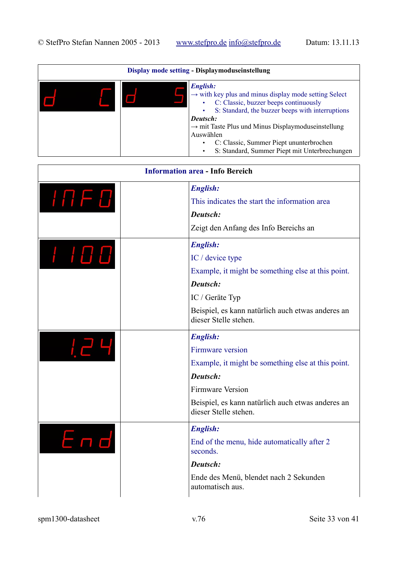| Display mode setting - Displaymoduseinstellung |  |                                                                                                                                                                                                                                                                                                                                                                                    |
|------------------------------------------------|--|------------------------------------------------------------------------------------------------------------------------------------------------------------------------------------------------------------------------------------------------------------------------------------------------------------------------------------------------------------------------------------|
|                                                |  | <b>English:</b><br>$\rightarrow$ with key plus and minus display mode setting Select<br>C: Classic, buzzer beeps continuously<br>٠<br>S: Standard, the buzzer beeps with interruptions<br>Deutsch:<br>$\rightarrow$ mit Taste Plus und Minus Displaymoduseinstellung<br>Auswählen<br>C: Classic, Summer Piept ununterbrochen<br>S: Standard, Summer Piept mit Unterbrechungen<br>٠ |

| <b>Information area - Info Bereich</b>                     |                                                                            |
|------------------------------------------------------------|----------------------------------------------------------------------------|
|                                                            | <b>English:</b>                                                            |
| $I\sqcap F$ $D$                                            | This indicates the start the information area                              |
|                                                            | Deutsch:                                                                   |
|                                                            | Zeigt den Anfang des Info Bereichs an                                      |
|                                                            | <b>English:</b>                                                            |
| $\begin{array}{c} I & I \; \square \; \square \end{array}$ | IC / device type                                                           |
|                                                            | Example, it might be something else at this point.                         |
|                                                            | Deutsch:                                                                   |
|                                                            | IC / Geräte Typ                                                            |
|                                                            | Beispiel, es kann natürlich auch etwas anderes an<br>dieser Stelle stehen. |
|                                                            | <b>English:</b>                                                            |
|                                                            | Firmware version                                                           |
|                                                            | Example, it might be something else at this point.                         |
|                                                            | Deutsch:                                                                   |
|                                                            | <b>Firmware Version</b>                                                    |
|                                                            | Beispiel, es kann natürlich auch etwas anderes an<br>dieser Stelle stehen. |
|                                                            | <b>English:</b>                                                            |
| End                                                        | End of the menu, hide automatically after 2<br>seconds.                    |
|                                                            | Deutsch:                                                                   |
|                                                            | Ende des Menü, blendet nach 2 Sekunden<br>automatisch aus.                 |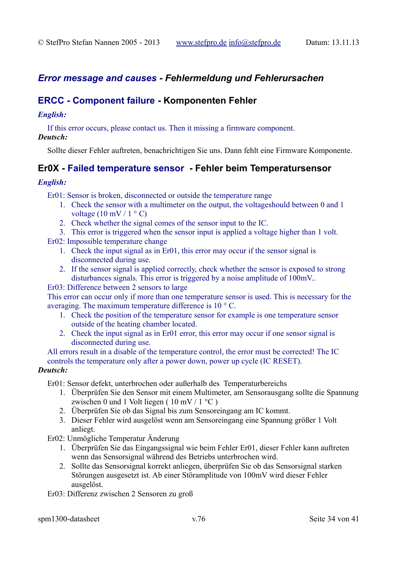# *Error message and causes - Fehlermeldung und Fehlerursachen*

### **ERCC - Component failure - Komponenten Fehler**

### *English:*

If this error occurs, please contact us. Then it missing a firmware component.

### *Deutsch:*

Sollte dieser Fehler auftreten, benachrichtigen Sie uns. Dann fehlt eine Firmware Komponente.

# **Er0X - Failed temperature sensor - Fehler beim Temperatursensor**

### *English:*

Er01: Sensor is broken, disconnected or outside the temperature range

- 1. Check the sensor with a multimeter on the output, the voltageshould between 0 and 1 voltage  $(10 \text{ mV} / 1 \degree \text{C})$
- 2. Check whether the signal comes of the sensor input to the IC.
- 3. This error is triggered when the sensor input is applied a voltage higher than 1 volt.

Er02: Impossible temperature change

- 1. Check the input signal as in Er01, this error may occur if the sensor signal is disconnected during use.
- 2. If the sensor signal is applied correctly, check whether the sensor is exposed to strong disturbances signals. This error is triggered by a noise amplitude of 100mV..

### Er03: Difference between 2 sensors to large

This error can occur only if more than one temperature sensor is used. This is necessary for the averaging. The maximum temperature difference is 10 ° C.

- 1. Check the position of the temperature sensor for example is one temperature sensor outside of the heating chamber located.
- 2. Check the input signal as in Er01 error, this error may occur if one sensor signal is disconnected during use.

All errors result in a disable of the temperature control, the error must be corrected! The IC controls the temperature only after a power down, power up cycle (IC RESET).

### *Deutsch:*

Er01: Sensor defekt, unterbrochen oder außerhalb des Temperaturbereichs

- 1. Überprüfen Sie den Sensor mit einem Multimeter, am Sensorausgang sollte die Spannung zwischen 0 und 1 Volt liegen ( $10 \text{ mV} / 1 \text{ }^{\circ}\text{C}$ )
- 2. Überprüfen Sie ob das Signal bis zum Sensoreingang am IC kommt.
- 3. Dieser Fehler wird ausgelöst wenn am Sensoreingang eine Spannung größer 1 Volt anliegt.
- Er02: Unmögliche Temperatur Änderung
	- 1. Überprüfen Sie das Eingangssignal wie beim Fehler Er01, dieser Fehler kann auftreten wenn das Sensorsignal während des Betriebs unterbrochen wird.
	- 2. Sollte das Sensorsignal korrekt anliegen, überprüfen Sie ob das Sensorsignal starken Störungen ausgesetzt ist. Ab einer Störamplitude von 100mV wird dieser Fehler ausgelöst.
- Er03: Differenz zwischen 2 Sensoren zu groß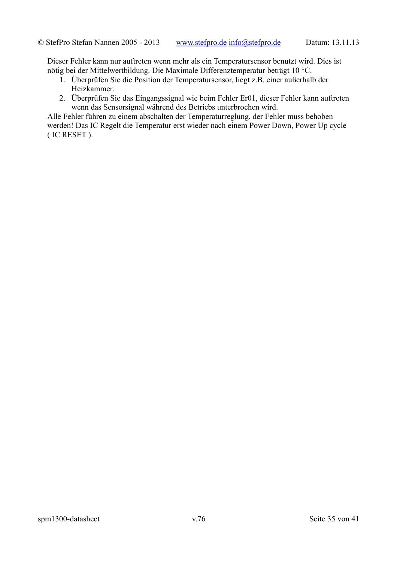Dieser Fehler kann nur auftreten wenn mehr als ein Temperatursensor benutzt wird. Dies ist nötig bei der Mittelwertbildung. Die Maximale Differenztemperatur beträgt 10 °C.

- 1. Überprüfen Sie die Position der Temperatursensor, liegt z.B. einer außerhalb der Heizkammer.
- 2. Überprüfen Sie das Eingangssignal wie beim Fehler Er01, dieser Fehler kann auftreten wenn das Sensorsignal während des Betriebs unterbrochen wird.

Alle Fehler führen zu einem abschalten der Temperaturreglung, der Fehler muss behoben werden! Das IC Regelt die Temperatur erst wieder nach einem Power Down, Power Up cycle ( IC RESET ).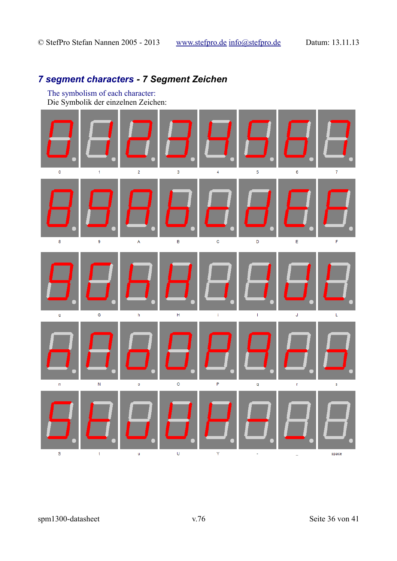# *7 segment characters - 7 Segment Zeichen*

The symbolism of each character: Die Symbolik der einzelnen Zeichen:

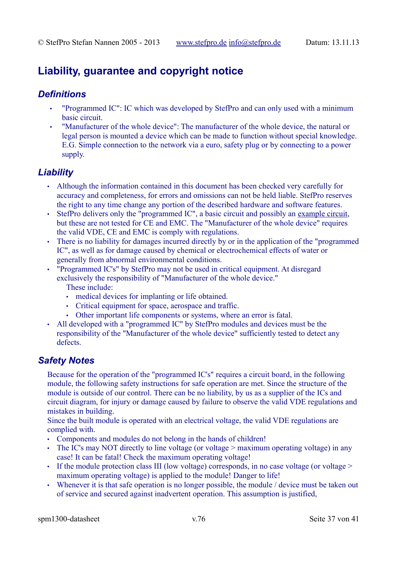# **Liability, guarantee and copyright notice**

# *Definitions*

- "Programmed IC": IC which was developed by StefPro and can only used with a minimum basic circuit.
- "Manufacturer of the whole device": The manufacturer of the whole device, the natural or legal person is mounted a device which can be made to function without special knowledge. E.G. Simple connection to the network via a euro, safety plug or by connecting to a power supply.

# *Liability*

- Although the information contained in this document has been checked very carefully for accuracy and completeness, for errors and omissions can not be held liable. StefPro reserves the right to any time change any portion of the described hardware and software features.
- StefPro delivers only the "programmed IC", a basic circuit and possibly an example circuit, but these are not tested for CE and EMC. The "Manufacturer of the whole device" requires the valid VDE, CE and EMC is comply with regulations.
- There is no liability for damages incurred directly by or in the application of the "programmed IC", as well as for damage caused by chemical or electrochemical effects of water or generally from abnormal environmental conditions.
- "Programmed IC's" by StefPro may not be used in critical equipment. At disregard exclusively the responsibility of "Manufacturer of the whole device." These include:
	- medical devices for implanting or life obtained.
	- Critical equipment for space, aerospace and traffic.
	- Other important life components or systems, where an error is fatal.
- All developed with a "programmed IC" by StefPro modules and devices must be the responsibility of the "Manufacturer of the whole device" sufficiently tested to detect any defects.

# *Safety Notes*

Because for the operation of the "programmed IC's" requires a circuit board, in the following module, the following safety instructions for safe operation are met. Since the structure of the module is outside of our control. There can be no liability, by us as a supplier of the ICs and circuit diagram, for injury or damage caused by failure to observe the valid VDE regulations and mistakes in building.

Since the built module is operated with an electrical voltage, the valid VDE regulations are complied with.

- Components and modules do not belong in the hands of children!
- The IC's may NOT directly to line voltage (or voltage > maximum operating voltage) in any case! It can be fatal! Check the maximum operating voltage!
- If the module protection class III (low voltage) corresponds, in no case voltage (or voltage  $>$ maximum operating voltage) is applied to the module! Danger to life!
- Whenever it is that safe operation is no longer possible, the module / device must be taken out of service and secured against inadvertent operation. This assumption is justified,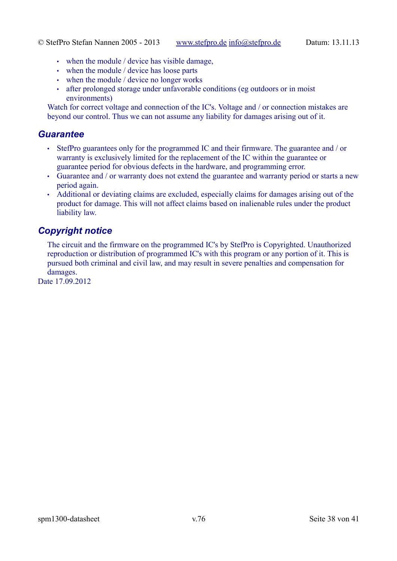- when the module / device has visible damage,
- when the module / device has loose parts
- when the module / device no longer works
- after prolonged storage under unfavorable conditions (eg outdoors or in moist environments)

Watch for correct voltage and connection of the IC's. Voltage and / or connection mistakes are beyond our control. Thus we can not assume any liability for damages arising out of it.

### *Guarantee*

- StefPro guarantees only for the programmed IC and their firmware. The guarantee and / or warranty is exclusively limited for the replacement of the IC within the guarantee or guarantee period for obvious defects in the hardware, and programming error.
- Guarantee and / or warranty does not extend the guarantee and warranty period or starts a new period again.
- Additional or deviating claims are excluded, especially claims for damages arising out of the product for damage. This will not affect claims based on inalienable rules under the product liability law.

# *Copyright notice*

The circuit and the firmware on the programmed IC's by StefPro is Copyrighted. Unauthorized reproduction or distribution of programmed IC's with this program or any portion of it. This is pursued both criminal and civil law, and may result in severe penalties and compensation for damages.

Date 17.09.2012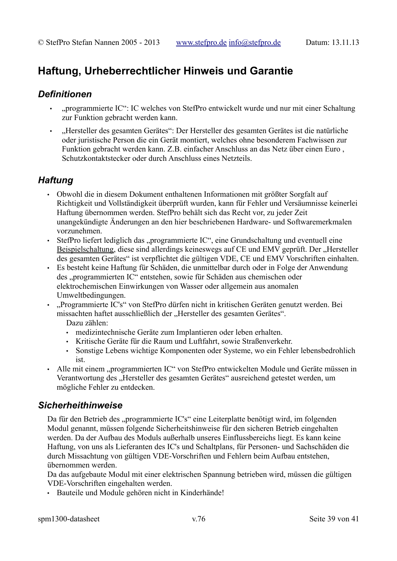# **Haftung, Urheberrechtlicher Hinweis und Garantie**

# *Definitionen*

- "programmierte IC": IC welches von StefPro entwickelt wurde und nur mit einer Schaltung zur Funktion gebracht werden kann.
- "Hersteller des gesamten Gerätes": Der Hersteller des gesamten Gerätes ist die natürliche oder juristische Person die ein Gerät montiert, welches ohne besonderem Fachwissen zur Funktion gebracht werden kann. Z.B. einfacher Anschluss an das Netz über einen Euro , Schutzkontaktstecker oder durch Anschluss eines Netzteils.

# *Haftung*

- Obwohl die in diesem Dokument enthaltenen Informationen mit größter Sorgfalt auf Richtigkeit und Vollständigkeit überprüft wurden, kann für Fehler und Versäumnisse keinerlei Haftung übernommen werden. StefPro behält sich das Recht vor, zu jeder Zeit unangekündigte Änderungen an den hier beschriebenen Hardware- und Softwaremerkmalen vorzunehmen.
- StefPro liefert lediglich das "programmierte IC", eine Grundschaltung und eventuell eine Beispielschaltung, diese sind allerdings keineswegs auf CE und EMV geprüft. Der "Hersteller des gesamten Gerätes" ist verpflichtet die gültigen VDE, CE und EMV Vorschriften einhalten.
- Es besteht keine Haftung für Schäden, die unmittelbar durch oder in Folge der Anwendung des "programmierten IC" entstehen, sowie für Schäden aus chemischen oder elektrochemischen Einwirkungen von Wasser oder allgemein aus anomalen Umweltbedingungen.
- "Programmierte IC's" von StefPro dürfen nicht in kritischen Geräten genutzt werden. Bei missachten haftet ausschließlich der "Hersteller des gesamten Gerätes". Dazu zählen:
	- medizintechnische Geräte zum Implantieren oder leben erhalten.
	- Kritische Geräte für die Raum und Luftfahrt, sowie Straßenverkehr.
	- Sonstige Lebens wichtige Komponenten oder Systeme, wo ein Fehler lebensbedrohlich ist.
- Alle mit einem "programmierten IC" von StefPro entwickelten Module und Geräte müssen in Verantwortung des "Hersteller des gesamten Gerätes" ausreichend getestet werden, um mögliche Fehler zu entdecken.

# *Sicherheithinweise*

Da für den Betrieb des "programmierte IC's" eine Leiterplatte benötigt wird, im folgenden Modul genannt, müssen folgende Sicherheitshinweise für den sicheren Betrieb eingehalten werden. Da der Aufbau des Moduls außerhalb unseres Einflussbereichs liegt. Es kann keine Haftung, von uns als Lieferanten des IC's und Schaltplans, für Personen- und Sachschäden die durch Missachtung von gültigen VDE-Vorschriften und Fehlern beim Aufbau entstehen, übernommen werden.

Da das aufgebaute Modul mit einer elektrischen Spannung betrieben wird, müssen die gültigen VDE-Vorschriften eingehalten werden.

• Bauteile und Module gehören nicht in Kinderhände!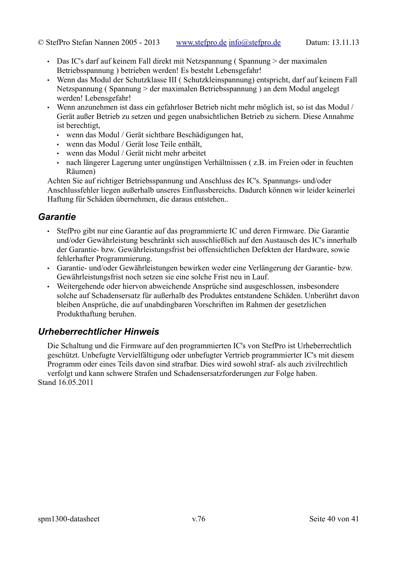- Das IC's darf auf keinem Fall direkt mit Netzspannung (Spannung > der maximalen Betriebsspannung ) betrieben werden! Es besteht Lebensgefahr!
- Wenn das Modul der Schutzklasse III ( Schutzkleinspannung) entspricht, darf auf keinem Fall Netzspannung ( Spannung > der maximalen Betriebsspannung ) an dem Modul angelegt werden! Lebensgefahr!
- Wenn anzunehmen ist dass ein gefahrloser Betrieb nicht mehr möglich ist, so ist das Modul / Gerät außer Betrieb zu setzen und gegen unabsichtlichen Betrieb zu sichern. Diese Annahme ist berechtigt,
	- wenn das Modul / Gerät sichtbare Beschädigungen hat,
	- wenn das Modul / Gerät lose Teile enthält,
	- wenn das Modul / Gerät nicht mehr arbeitet
	- nach längerer Lagerung unter ungünstigen Verhältnissen ( z.B. im Freien oder in feuchten Räumen)

Achten Sie auf richtiger Betriebsspannung und Anschluss des IC's. Spannungs- und/oder Anschlussfehler liegen außerhalb unseres Einflussbereichs. Dadurch können wir leider keinerlei Haftung für Schäden übernehmen, die daraus entstehen..

# *Garantie*

- StefPro gibt nur eine Garantie auf das programmierte IC und deren Firmware. Die Garantie und/oder Gewährleistung beschränkt sich ausschließlich auf den Austausch des IC's innerhalb der Garantie- bzw. Gewährleistungsfrist bei offensichtlichen Defekten der Hardware, sowie fehlerhafter Programmierung.
- Garantie- und/oder Gewährleistungen bewirken weder eine Verlängerung der Garantie- bzw. Gewährleistungsfrist noch setzen sie eine solche Frist neu in Lauf.
- Weitergehende oder hiervon abweichende Ansprüche sind ausgeschlossen, insbesondere solche auf Schadensersatz für außerhalb des Produktes entstandene Schäden. Unberührt davon bleiben Ansprüche, die auf unabdingbaren Vorschriften im Rahmen der gesetzlichen Produkthaftung beruhen.

# *Urheberrechtlicher Hinweis*

Die Schaltung und die Firmware auf den programmierten IC's von StefPro ist Urheberrechtlich geschützt. Unbefugte Vervielfältigung oder unbefugter Vertrieb programmierter IC's mit diesem Programm oder eines Teils davon sind strafbar. Dies wird sowohl straf- als auch zivilrechtlich verfolgt und kann schwere Strafen und Schadensersatzforderungen zur Folge haben. Stand 16.05.2011